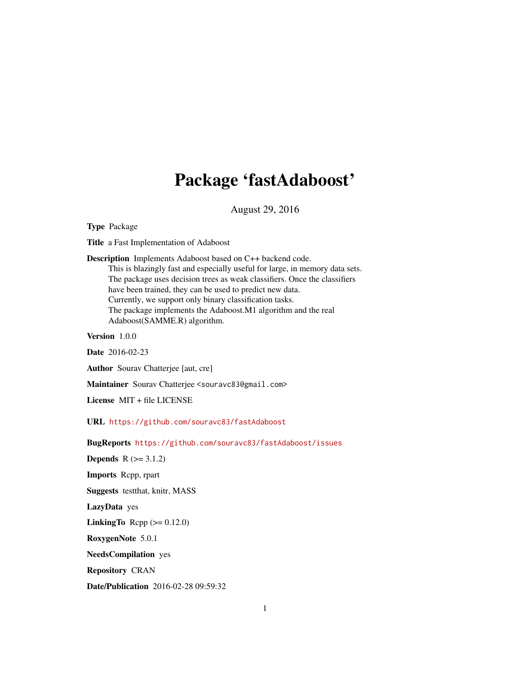## Package 'fastAdaboost'

August 29, 2016

Type Package

Title a Fast Implementation of Adaboost

Description Implements Adaboost based on C++ backend code. This is blazingly fast and especially useful for large, in memory data sets. The package uses decision trees as weak classifiers. Once the classifiers have been trained, they can be used to predict new data. Currently, we support only binary classification tasks. The package implements the Adaboost.M1 algorithm and the real Adaboost(SAMME.R) algorithm.

Version 1.0.0

Date 2016-02-23

Author Sourav Chatterjee [aut, cre]

Maintainer Sourav Chatterjee <souravc83@gmail.com>

License MIT + file LICENSE

URL <https://github.com/souravc83/fastAdaboost>

BugReports <https://github.com/souravc83/fastAdaboost/issues>

**Depends**  $R$  ( $>= 3.1.2$ ) Imports Rcpp, rpart Suggests testthat, knitr, MASS LazyData yes **LinkingTo** Rcpp  $(>= 0.12.0)$ RoxygenNote 5.0.1 NeedsCompilation yes Repository CRAN

Date/Publication 2016-02-28 09:59:32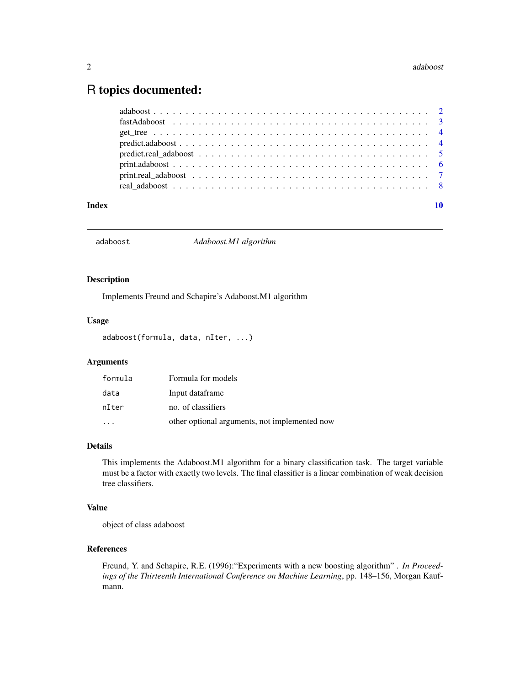### <span id="page-1-0"></span>R topics documented:

| Index |  |
|-------|--|
|       |  |
|       |  |
|       |  |
|       |  |
|       |  |
|       |  |
|       |  |

<span id="page-1-1"></span>adaboost *Adaboost.M1 algorithm*

#### Description

Implements Freund and Schapire's Adaboost.M1 algorithm

#### Usage

```
adaboost(formula, data, nIter, ...)
```
#### Arguments

| formula | Formula for models                            |
|---------|-----------------------------------------------|
| data    | Input dataframe                               |
| nIter   | no. of classifiers                            |
|         | other optional arguments, not implemented now |

#### Details

This implements the Adaboost.M1 algorithm for a binary classification task. The target variable must be a factor with exactly two levels. The final classifier is a linear combination of weak decision tree classifiers.

#### Value

object of class adaboost

#### References

Freund, Y. and Schapire, R.E. (1996):"Experiments with a new boosting algorithm" . *In Proceedings of the Thirteenth International Conference on Machine Learning*, pp. 148–156, Morgan Kaufmann.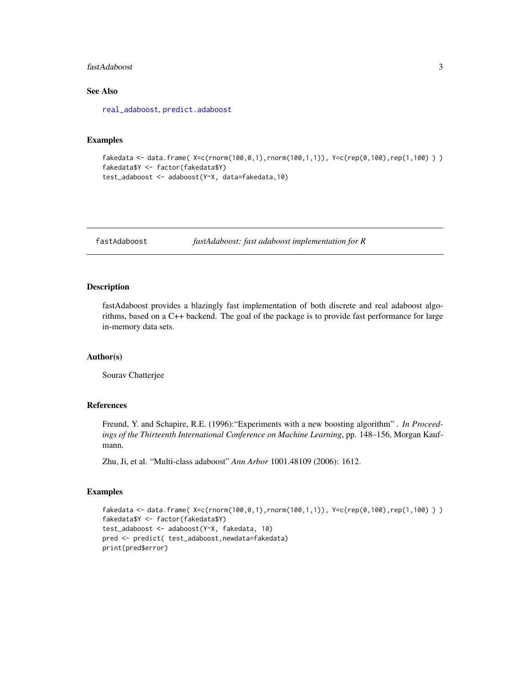#### <span id="page-2-0"></span>fastAdaboost 3

#### See Also

[real\\_adaboost](#page-7-1), [predict.adaboost](#page-3-1)

#### Examples

```
fakedata <- data.frame( X=c(rnorm(100,0,1),rnorm(100,1,1)), Y=c(rep(0,100),rep(1,100) ))
fakedata$Y <- factor(fakedata$Y)
test_adaboost <- adaboost(Y~X, data=fakedata,10)
```
fastAdaboost *fastAdaboost: fast adaboost implementation for R*

#### Description

fastAdaboost provides a blazingly fast implementation of both discrete and real adaboost algorithms, based on a C++ backend. The goal of the package is to provide fast performance for large in-memory data sets.

#### Author(s)

Sourav Chatterjee

#### References

Freund, Y. and Schapire, R.E. (1996):"Experiments with a new boosting algorithm" . *In Proceedings of the Thirteenth International Conference on Machine Learning*, pp. 148–156, Morgan Kaufmann.

Zhu, Ji, et al. "Multi-class adaboost" *Ann Arbor* 1001.48109 (2006): 1612.

#### Examples

```
fakedata <- data.frame( X=c(rnorm(100,0,1),rnorm(100,1,1)), Y=c(rep(0,100),rep(1,100) ))
fakedata$Y <- factor(fakedata$Y)
test_adaboost <- adaboost(Y~X, fakedata, 10)
pred <- predict( test_adaboost,newdata=fakedata)
print(pred$error)
```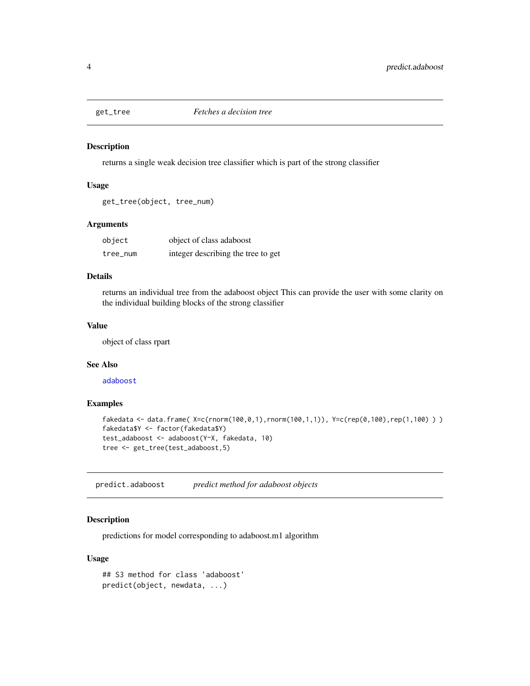<span id="page-3-0"></span>

#### Description

returns a single weak decision tree classifier which is part of the strong classifier

#### Usage

```
get_tree(object, tree_num)
```
#### Arguments

| object   | object of class adaboost           |
|----------|------------------------------------|
| tree_num | integer describing the tree to get |

#### Details

returns an individual tree from the adaboost object This can provide the user with some clarity on the individual building blocks of the strong classifier

#### Value

object of class rpart

#### See Also

[adaboost](#page-1-1)

#### Examples

```
fakedata <- data.frame( X=c(rnorm(100,0,1),rnorm(100,1,1)), Y=c(rep(0,100),rep(1,100)))
fakedata$Y <- factor(fakedata$Y)
test_adaboost <- adaboost(Y~X, fakedata, 10)
tree <- get_tree(test_adaboost,5)
```
<span id="page-3-1"></span>predict.adaboost *predict method for adaboost objects*

#### Description

predictions for model corresponding to adaboost.m1 algorithm

#### Usage

```
## S3 method for class 'adaboost'
predict(object, newdata, ...)
```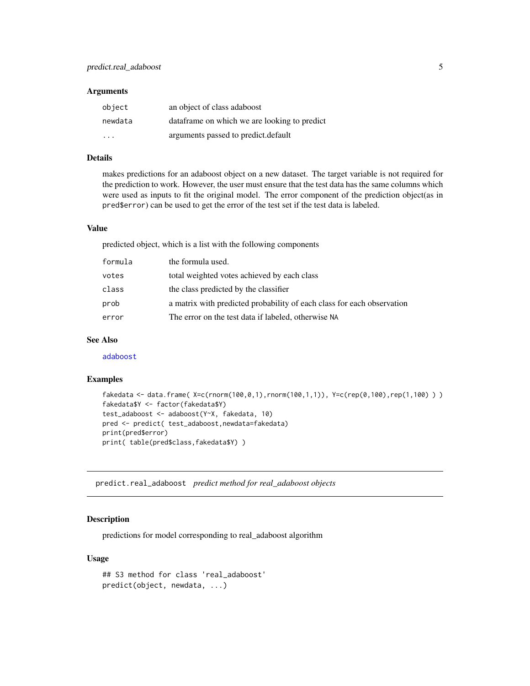#### <span id="page-4-0"></span>**Arguments**

| object                  | an object of class adaboost                   |
|-------------------------|-----------------------------------------------|
| newdata                 | data frame on which we are looking to predict |
| $\cdot$ $\cdot$ $\cdot$ | arguments passed to predict.default           |

#### Details

makes predictions for an adaboost object on a new dataset. The target variable is not required for the prediction to work. However, the user must ensure that the test data has the same columns which were used as inputs to fit the original model. The error component of the prediction object(as in pred\$error) can be used to get the error of the test set if the test data is labeled.

#### Value

predicted object, which is a list with the following components

| formula | the formula used.                                                      |
|---------|------------------------------------------------------------------------|
| votes   | total weighted votes achieved by each class                            |
| class   | the class predicted by the classifier                                  |
| prob    | a matrix with predicted probability of each class for each observation |
| error   | The error on the test data if labeled, otherwise NA                    |

#### See Also

[adaboost](#page-1-1)

#### Examples

```
fakedata <- data.frame( X=c(rnorm(100,0,1),rnorm(100,1,1)), Y=c(rep(0,100),rep(1,100) ) )
fakedata$Y <- factor(fakedata$Y)
test_adaboost <- adaboost(Y~X, fakedata, 10)
pred <- predict( test_adaboost,newdata=fakedata)
print(pred$error)
print( table(pred$class,fakedata$Y) )
```
<span id="page-4-1"></span>predict.real\_adaboost *predict method for real\_adaboost objects*

#### Description

predictions for model corresponding to real\_adaboost algorithm

#### Usage

```
## S3 method for class 'real_adaboost'
predict(object, newdata, ...)
```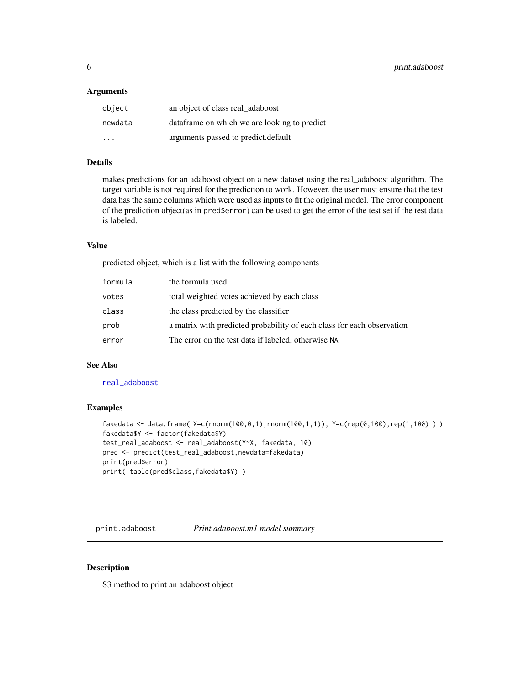#### <span id="page-5-0"></span>**Arguments**

| object  | an object of class real adaboost              |
|---------|-----------------------------------------------|
| newdata | data frame on which we are looking to predict |
| .       | arguments passed to predict.default           |

#### Details

makes predictions for an adaboost object on a new dataset using the real\_adaboost algorithm. The target variable is not required for the prediction to work. However, the user must ensure that the test data has the same columns which were used as inputs to fit the original model. The error component of the prediction object(as in pred\$error) can be used to get the error of the test set if the test data is labeled.

#### Value

predicted object, which is a list with the following components

| formula | the formula used.                                                      |
|---------|------------------------------------------------------------------------|
| votes   | total weighted votes achieved by each class                            |
| class   | the class predicted by the classifier                                  |
| prob    | a matrix with predicted probability of each class for each observation |
| error   | The error on the test data if labeled, otherwise NA                    |

#### See Also

[real\\_adaboost](#page-7-1)

#### Examples

```
fakedata <- data.frame( X=c(rnorm(100,0,1),rnorm(100,1,1)), Y=c(rep(0,100),rep(1,100) ) )
fakedata$Y <- factor(fakedata$Y)
test_real_adaboost <- real_adaboost(Y~X, fakedata, 10)
pred <- predict(test_real_adaboost,newdata=fakedata)
print(pred$error)
print( table(pred$class,fakedata$Y) )
```
<span id="page-5-1"></span>print.adaboost *Print adaboost.m1 model summary*

#### Description

S3 method to print an adaboost object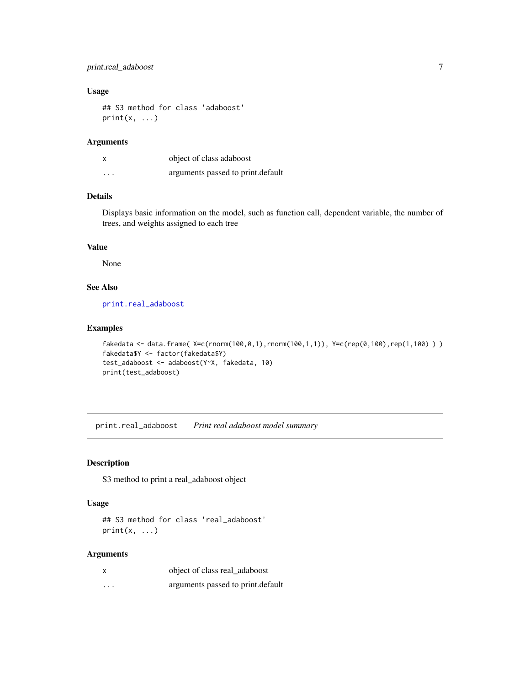#### <span id="page-6-0"></span>print.real\_adaboost 7

#### Usage

```
## S3 method for class 'adaboost'
print(x, \ldots)
```
#### Arguments

|          | object of class adaboost          |
|----------|-----------------------------------|
| $\cdots$ | arguments passed to print.default |

#### Details

Displays basic information on the model, such as function call, dependent variable, the number of trees, and weights assigned to each tree

#### Value

None

#### See Also

[print.real\\_adaboost](#page-6-1)

#### Examples

```
fakedata <- data.frame( X=c(rnorm(100,0,1),rnorm(100,1,1)), Y=c(rep(0,100),rep(1,100)))
fakedata$Y <- factor(fakedata$Y)
test_adaboost <- adaboost(Y~X, fakedata, 10)
print(test_adaboost)
```
<span id="page-6-1"></span>print.real\_adaboost *Print real adaboost model summary*

#### **Description**

S3 method to print a real\_adaboost object

#### Usage

```
## S3 method for class 'real_adaboost'
print(x, \ldots)
```
#### Arguments

| $\boldsymbol{\mathsf{x}}$ | object of class real adaboost     |
|---------------------------|-----------------------------------|
| $\cdots$                  | arguments passed to print.default |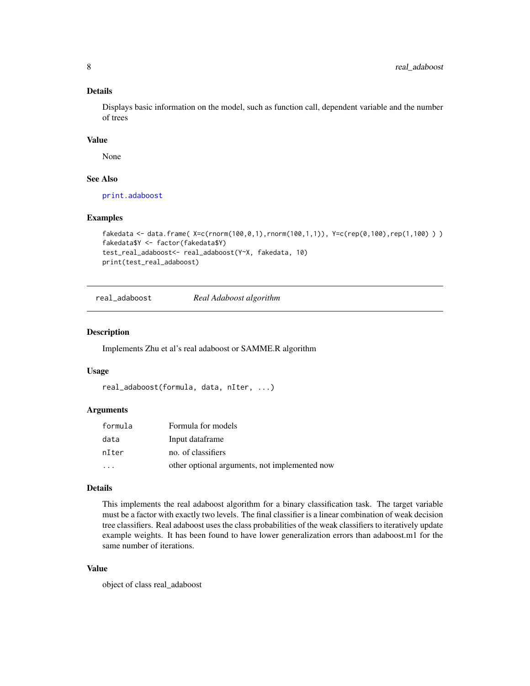#### Details

Displays basic information on the model, such as function call, dependent variable and the number of trees

#### Value

None

#### See Also

[print.adaboost](#page-5-1)

#### Examples

```
fakedata <- data.frame( X=c(rnorm(100,0,1),rnorm(100,1,1)), Y=c(rep(0,100),rep(1,100) ))
fakedata$Y <- factor(fakedata$Y)
test_real_adaboost<- real_adaboost(Y~X, fakedata, 10)
print(test_real_adaboost)
```
<span id="page-7-1"></span>real\_adaboost *Real Adaboost algorithm*

#### Description

Implements Zhu et al's real adaboost or SAMME.R algorithm

#### Usage

```
real_adaboost(formula, data, nIter, ...)
```
#### Arguments

| formula                 | Formula for models                            |
|-------------------------|-----------------------------------------------|
| data                    | Input dataframe                               |
| nIter                   | no. of classifiers                            |
| $\cdot$ $\cdot$ $\cdot$ | other optional arguments, not implemented now |

#### Details

This implements the real adaboost algorithm for a binary classification task. The target variable must be a factor with exactly two levels. The final classifier is a linear combination of weak decision tree classifiers. Real adaboost uses the class probabilities of the weak classifiers to iteratively update example weights. It has been found to have lower generalization errors than adaboost.m1 for the same number of iterations.

#### Value

object of class real\_adaboost

<span id="page-7-0"></span>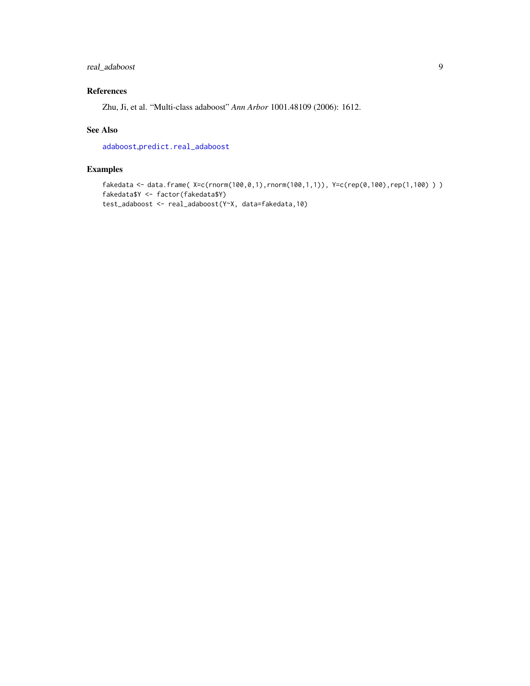#### <span id="page-8-0"></span>real\_adaboost 9

#### References

Zhu, Ji, et al. "Multi-class adaboost" *Ann Arbor* 1001.48109 (2006): 1612.

#### See Also

[adaboost](#page-1-1),[predict.real\\_adaboost](#page-4-1)

#### Examples

```
fakedata <- data.frame( X=c(rnorm(100,0,1),rnorm(100,1,1)), Y=c(rep(0,100),rep(1,100) ) )
fakedata$Y <- factor(fakedata$Y)
test_adaboost <- real_adaboost(Y~X, data=fakedata,10)
```